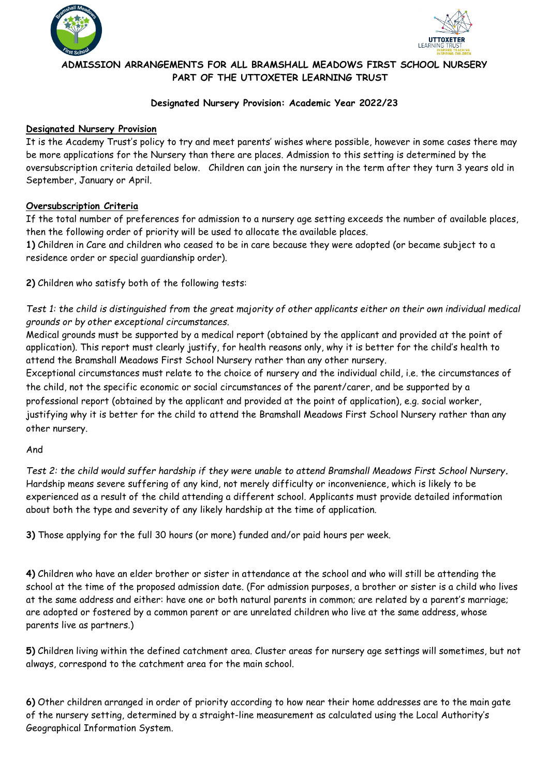



# **ADMISSION ARRANGEMENTS FOR ALL BRAMSHALL MEADOWS FIRST SCHOOL NURSERY PART OF THE UTTOXETER LEARNING TRUST**

#### **Designated Nursery Provision: Academic Year 2022/23**

## **Designated Nursery Provision**

It is the Academy Trust's policy to try and meet parents' wishes where possible, however in some cases there may be more applications for the Nursery than there are places. Admission to this setting is determined by the oversubscription criteria detailed below. Children can join the nursery in the term after they turn 3 years old in September, January or April.

## **Oversubscription Criteria**

If the total number of preferences for admission to a nursery age setting exceeds the number of available places, then the following order of priority will be used to allocate the available places.

**1)** Children in Care and children who ceased to be in care because they were adopted (or became subject to a residence order or special guardianship order).

**2)** Children who satisfy both of the following tests:

*Test 1: the child is distinguished from the great majority of other applicants either on their own individual medical grounds or by other exceptional circumstances.* 

Medical grounds must be supported by a medical report (obtained by the applicant and provided at the point of application). This report must clearly justify, for health reasons only, why it is better for the child's health to attend the Bramshall Meadows First School Nursery rather than any other nursery.

Exceptional circumstances must relate to the choice of nursery and the individual child, i.e. the circumstances of the child, not the specific economic or social circumstances of the parent/carer, and be supported by a professional report (obtained by the applicant and provided at the point of application), e.g. social worker, justifying why it is better for the child to attend the Bramshall Meadows First School Nursery rather than any other nursery.

And

*Test 2: the child would suffer hardship if they were unable to attend Bramshall Meadows First School Nursery.*  Hardship means severe suffering of any kind, not merely difficulty or inconvenience, which is likely to be experienced as a result of the child attending a different school. Applicants must provide detailed information about both the type and severity of any likely hardship at the time of application.

**3)** Those applying for the full 30 hours (or more) funded and/or paid hours per week.

**4)** Children who have an elder brother or sister in attendance at the school and who will still be attending the school at the time of the proposed admission date. (For admission purposes, a brother or sister is a child who lives at the same address and either: have one or both natural parents in common; are related by a parent's marriage; are adopted or fostered by a common parent or are unrelated children who live at the same address, whose parents live as partners.)

**5)** Children living within the defined catchment area. Cluster areas for nursery age settings will sometimes, but not always, correspond to the catchment area for the main school.

**6)** Other children arranged in order of priority according to how near their home addresses are to the main gate of the nursery setting, determined by a straight-line measurement as calculated using the Local Authority's Geographical Information System.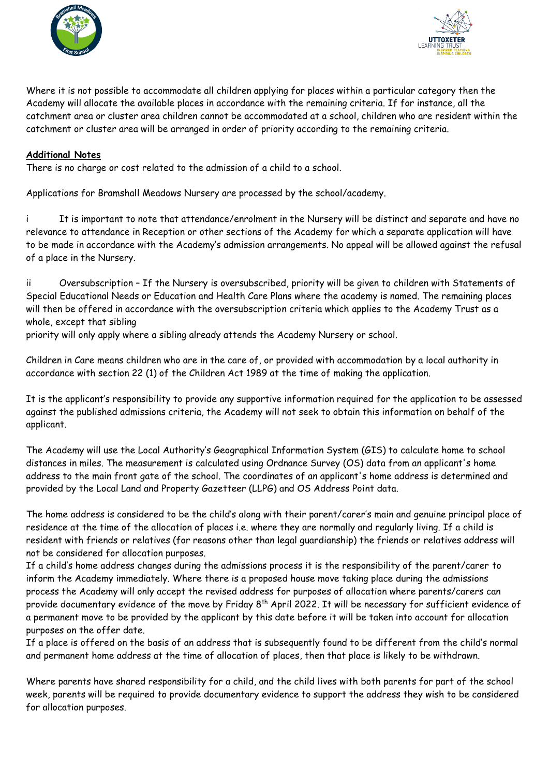



Where it is not possible to accommodate all children applying for places within a particular category then the Academy will allocate the available places in accordance with the remaining criteria. If for instance, all the catchment area or cluster area children cannot be accommodated at a school, children who are resident within the catchment or cluster area will be arranged in order of priority according to the remaining criteria.

#### **Additional Notes**

There is no charge or cost related to the admission of a child to a school.

Applications for Bramshall Meadows Nursery are processed by the school/academy.

i It is important to note that attendance/enrolment in the Nursery will be distinct and separate and have no relevance to attendance in Reception or other sections of the Academy for which a separate application will have to be made in accordance with the Academy's admission arrangements. No appeal will be allowed against the refusal of a place in the Nursery.

ii Oversubscription – If the Nursery is oversubscribed, priority will be given to children with Statements of Special Educational Needs or Education and Health Care Plans where the academy is named. The remaining places will then be offered in accordance with the oversubscription criteria which applies to the Academy Trust as a whole, except that sibling

priority will only apply where a sibling already attends the Academy Nursery or school.

Children in Care means children who are in the care of, or provided with accommodation by a local authority in accordance with section 22 (1) of the Children Act 1989 at the time of making the application.

It is the applicant's responsibility to provide any supportive information required for the application to be assessed against the published admissions criteria, the Academy will not seek to obtain this information on behalf of the applicant.

The Academy will use the Local Authority's Geographical Information System (GIS) to calculate home to school distances in miles. The measurement is calculated using Ordnance Survey (OS) data from an applicant's home address to the main front gate of the school. The coordinates of an applicant's home address is determined and provided by the Local Land and Property Gazetteer (LLPG) and OS Address Point data.

The home address is considered to be the child's along with their parent/carer's main and genuine principal place of residence at the time of the allocation of places i.e. where they are normally and regularly living. If a child is resident with friends or relatives (for reasons other than legal guardianship) the friends or relatives address will not be considered for allocation purposes.

If a child's home address changes during the admissions process it is the responsibility of the parent/carer to inform the Academy immediately. Where there is a proposed house move taking place during the admissions process the Academy will only accept the revised address for purposes of allocation where parents/carers can provide documentary evidence of the move by Friday 8<sup>th</sup> April 2022. It will be necessary for sufficient evidence of a permanent move to be provided by the applicant by this date before it will be taken into account for allocation purposes on the offer date.

If a place is offered on the basis of an address that is subsequently found to be different from the child's normal and permanent home address at the time of allocation of places, then that place is likely to be withdrawn.

Where parents have shared responsibility for a child, and the child lives with both parents for part of the school week, parents will be required to provide documentary evidence to support the address they wish to be considered for allocation purposes.